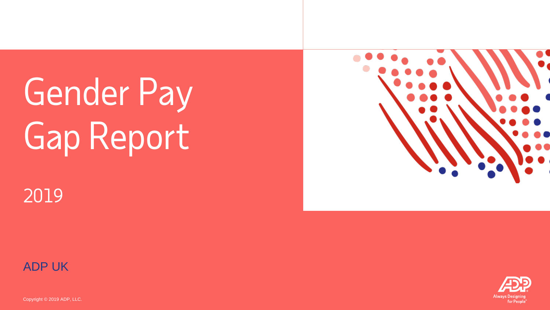# Gender Pay Gap Report



## 2019



Copyright © 2019 ADP, LLC.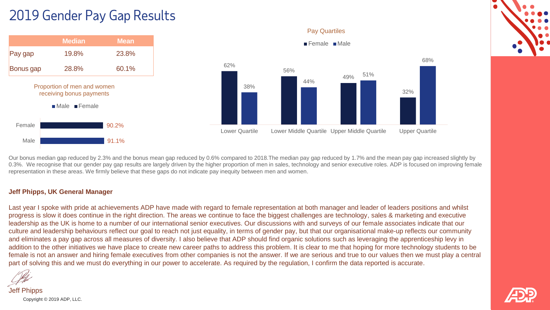## 2019 Gender Pay Gap Results



Our bonus median gap reduced by 2.3% and the bonus mean gap reduced by 0.6% compared to 2018.The median pay gap reduced by 1.7% and the mean pay gap increased slightly by 0.3%. We recognise that our gender pay gap results are largely driven by the higher proportion of men in sales, technology and senior executive roles. ADP is focused on improving female representation in these areas. We firmly believe that these gaps do not indicate pay inequity between men and women.

#### **Jeff Phipps, UK General Manager**

Last year I spoke with pride at achievements ADP have made with regard to female representation at both manager and leader of leaders positions and whilst progress is slow it does continue in the right direction. The areas we continue to face the biggest challenges are technology, sales & marketing and executive leadership as the UK is home to a number of our international senior executives. Our discussions with and surveys of our female associates indicate that our culture and leadership behaviours reflect our goal to reach not just equality, in terms of gender pay, but that our organisational make-up reflects our community and eliminates a pay gap across all measures of diversity. I also believe that ADP should find organic solutions such as leveraging the apprenticeship levy in addition to the other initiatives we have place to create new career paths to address this problem. It is clear to me that hoping for more technology students to be female is not an answer and hiring female executives from other companies is not the answer. If we are serious and true to our values then we must play a central part of solving this and we must do everything in our power to accelerate. As required by the regulation, I confirm the data reported is accurate.

Copyright © 2019 ADP, LLC. Jeff Phipps

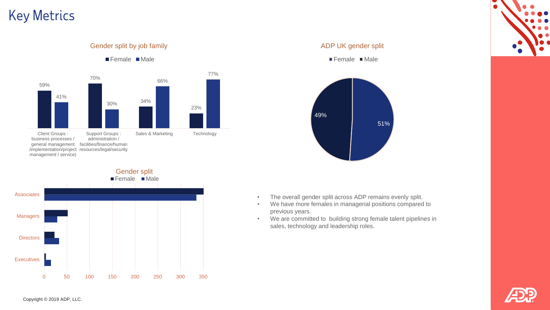## Key Metrics



Gender split by job family



#### ADP UK gender split

■ Female Male





- We have more females in managerial positions compared to previous years.
- We are committed to building strong female talent pipelines in sales, technology and leadership roles.